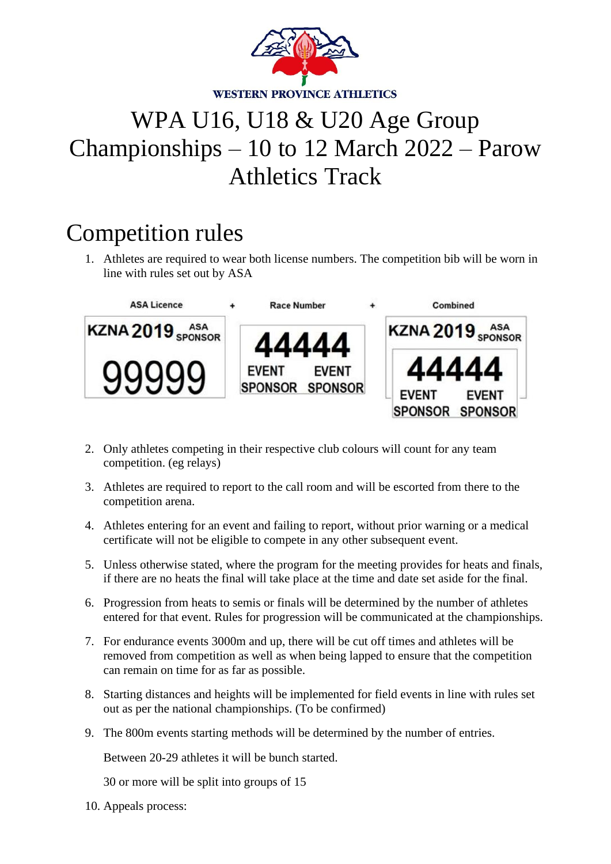

## WPA U16, U18 & U20 Age Group Championships – 10 to 12 March 2022 – Parow Athletics Track

## Competition rules

1. Athletes are required to wear both license numbers. The competition bib will be worn in line with rules set out by ASA



- 2. Only athletes competing in their respective club colours will count for any team competition. (eg relays)
- 3. Athletes are required to report to the call room and will be escorted from there to the competition arena.
- 4. Athletes entering for an event and failing to report, without prior warning or a medical certificate will not be eligible to compete in any other subsequent event.
- 5. Unless otherwise stated, where the program for the meeting provides for heats and finals, if there are no heats the final will take place at the time and date set aside for the final.
- 6. Progression from heats to semis or finals will be determined by the number of athletes entered for that event. Rules for progression will be communicated at the championships.
- 7. For endurance events 3000m and up, there will be cut off times and athletes will be removed from competition as well as when being lapped to ensure that the competition can remain on time for as far as possible.
- 8. Starting distances and heights will be implemented for field events in line with rules set out as per the national championships. (To be confirmed)
- 9. The 800m events starting methods will be determined by the number of entries.

Between 20-29 athletes it will be bunch started.

30 or more will be split into groups of 15

10. Appeals process: